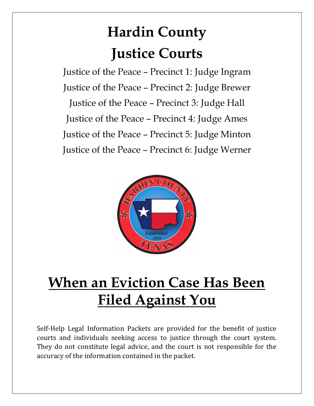# **Hardin County Justice Courts**

Justice of the Peace – Precinct 1: Judge Ingram Justice of the Peace – Precinct 2: Judge Brewer Justice of the Peace – Precinct 3: Judge Hall Justice of the Peace – Precinct 4: Judge Ames Justice of the Peace – Precinct 5: Judge Minton Justice of the Peace – Precinct 6: Judge Werner



## **When an Eviction Case Has Been Filed Against You**

Self-Help Legal Information Packets are provided for the benefit of justice courts and individuals seeking access to justice through the court system. They do not constitute legal advice, and the court is not responsible for the accuracy of the information contained in the packet.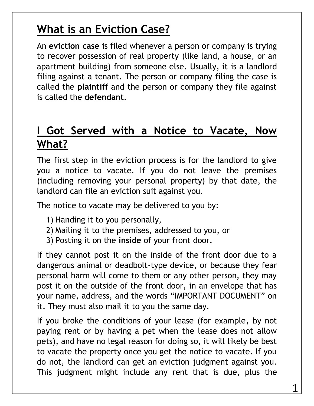## **What is an Eviction Case?**

An **eviction case** is filed whenever a person or company is trying to recover possession of real property (like land, a house, or an apartment building) from someone else. Usually, it is a landlord filing against a tenant. The person or company filing the case is called the **plaintiff** and the person or company they file against is called the **defendant**.

### **I Got Served with a Notice to Vacate, Now What?**

The first step in the eviction process is for the landlord to give you a notice to vacate. If you do not leave the premises (including removing your personal property) by that date, the landlord can file an eviction suit against you.

The notice to vacate may be delivered to you by:

- 1) Handing it to you personally,
- 2) Mailing it to the premises, addressed to you, or
- 3) Posting it on the **inside** of your front door.

If they cannot post it on the inside of the front door due to a dangerous animal or deadbolt-type device, or because they fear personal harm will come to them or any other person, they may post it on the outside of the front door, in an envelope that has your name, address, and the words "IMPORTANT DOCUMENT" on it. They must also mail it to you the same day.

If you broke the conditions of your lease (for example, by not paying rent or by having a pet when the lease does not allow pets), and have no legal reason for doing so, it will likely be best to vacate the property once you get the notice to vacate. If you do not, the landlord can get an eviction judgment against you. This judgment might include any rent that is due, plus the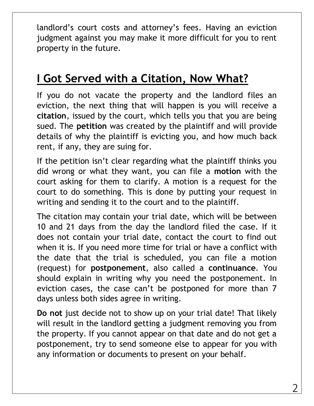landlord's court costs and attorney's fees. Having an eviction judgment against you may make it more difficult for you to rent property in the future.

## **I Got Served with a Citation, Now What?**

If you do not vacate the property and the landlord files an eviction, the next thing that will happen is you will receive a **citation**, issued by the court, which tells you that you are being sued. The **petition** was created by the plaintiff and will provide details of why the plaintiff is evicting you, and how much back rent, if any, they are suing for.

If the petition isn't clear regarding what the plaintiff thinks you did wrong or what they want, you can file a **motion** with the court asking for them to clarify. A motion is a request for the court to do something. This is done by putting your request in writing and sending it to the court and to the plaintiff.

The citation may contain your trial date, which will be between 10 and 21 days from the day the landlord filed the case. If it does not contain your trial date, contact the court to find out when it is. If you need more time for trial or have a conflict with the date that the trial is scheduled, you can file a motion (request) for **postponement**, also called a **continuance**. You should explain in writing why you need the postponement. In eviction cases, the case can't be postponed for more than 7 days unless both sides agree in writing.

**Do not** just decide not to show up on your trial date! That likely will result in the landlord getting a judgment removing you from the property. If you cannot appear on that date and do not get a postponement, try to send someone else to appear for you with any information or documents to present on your behalf.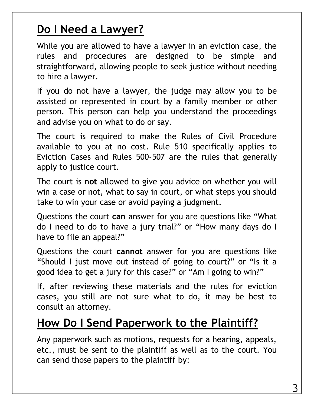## **Do I Need a Lawyer?**

While you are allowed to have a lawyer in an eviction case, the rules and procedures are designed to be simple and straightforward, allowing people to seek justice without needing to hire a lawyer.

If you do not have a lawyer, the judge may allow you to be assisted or represented in court by a family member or other person. This person can help you understand the proceedings and advise you on what to do or say.

The court is required to make the Rules of Civil Procedure available to you at no cost. Rule 510 specifically applies to Eviction Cases and Rules 500-507 are the rules that generally apply to justice court.

The court is **not** allowed to give you advice on whether you will win a case or not, what to say in court, or what steps you should take to win your case or avoid paying a judgment.

Questions the court **can** answer for you are questions like "What do I need to do to have a jury trial?" or "How many days do I have to file an appeal?"

Questions the court **cannot** answer for you are questions like "Should I just move out instead of going to court?" or "Is it a good idea to get a jury for this case?" or "Am I going to win?"

If, after reviewing these materials and the rules for eviction cases, you still are not sure what to do, it may be best to consult an attorney.

#### **How Do I Send Paperwork to the Plaintiff?**

Any paperwork such as motions, requests for a hearing, appeals, etc., must be sent to the plaintiff as well as to the court. You can send those papers to the plaintiff by: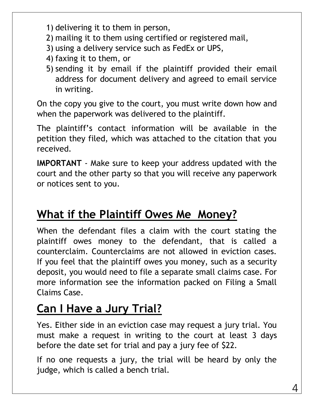- 1) delivering it to them in person,
- 2) mailing it to them using certified or registered mail,
- 3) using a delivery service such as FedEx or UPS,
- 4) faxing it to them, or
- 5) sending it by email if the plaintiff provided their email address for document delivery and agreed to email service in writing.

On the copy you give to the court, you must write down how and when the paperwork was delivered to the plaintiff.

The plaintiff's contact information will be available in the petition they filed, which was attached to the citation that you received.

**IMPORTANT** - Make sure to keep your address updated with the court and the other party so that you will receive any paperwork or notices sent to you.

## **What if the Plaintiff Owes Me Money?**

When the defendant files a claim with the court stating the plaintiff owes money to the defendant, that is called a counterclaim. Counterclaims are not allowed in eviction cases. If you feel that the plaintiff owes you money, such as a security deposit, you would need to file a separate small claims case. For more information see the information packed on Filing a Small Claims Case.

## **Can I Have a Jury Trial?**

Yes. Either side in an eviction case may request a jury trial. You must make a request in writing to the court at least 3 days before the date set for trial and pay a jury fee of \$22.

If no one requests a jury, the trial will be heard by only the judge, which is called a bench trial.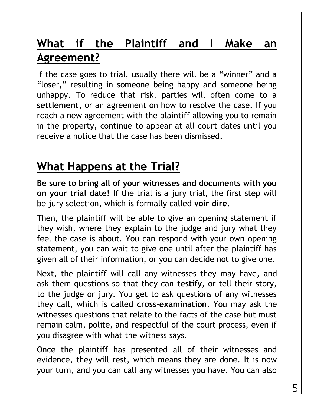## **What if the Plaintiff and I Make an Agreement?**

If the case goes to trial, usually there will be a "winner" and a "loser," resulting in someone being happy and someone being unhappy. To reduce that risk, parties will often come to a **settlement**, or an agreement on how to resolve the case. If you reach a new agreement with the plaintiff allowing you to remain in the property, continue to appear at all court dates until you receive a notice that the case has been dismissed.

## **What Happens at the Trial?**

**Be sure to bring all of your witnesses and documents with you on your trial date!** If the trial is a jury trial, the first step will be jury selection, which is formally called **voir dire**.

Then, the plaintiff will be able to give an opening statement if they wish, where they explain to the judge and jury what they feel the case is about. You can respond with your own opening statement, you can wait to give one until after the plaintiff has given all of their information, or you can decide not to give one.

Next, the plaintiff will call any witnesses they may have, and ask them questions so that they can **testify**, or tell their story, to the judge or jury. You get to ask questions of any witnesses they call, which is called **cross-examination**. You may ask the witnesses questions that relate to the facts of the case but must remain calm, polite, and respectful of the court process, even if you disagree with what the witness says.

Once the plaintiff has presented all of their witnesses and evidence, they will rest, which means they are done. It is now your turn, and you can call any witnesses you have. You can also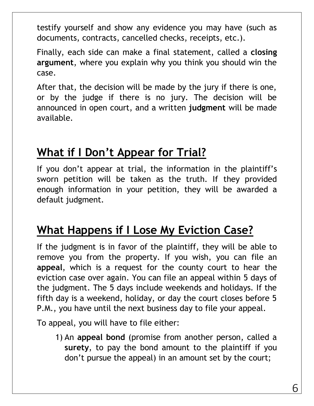testify yourself and show any evidence you may have (such as documents, contracts, cancelled checks, receipts, etc.).

Finally, each side can make a final statement, called a **closing argument**, where you explain why you think you should win the case.

After that, the decision will be made by the jury if there is one, or by the judge if there is no jury. The decision will be announced in open court, and a written **judgment** will be made available.

## **What if I Don't Appear for Trial?**

If you don't appear at trial, the information in the plaintiff's sworn petition will be taken as the truth. If they provided enough information in your petition, they will be awarded a default judgment.

## **What Happens if I Lose My Eviction Case?**

If the judgment is in favor of the plaintiff, they will be able to remove you from the property. If you wish, you can file an **appeal**, which is a request for the county court to hear the eviction case over again. You can file an appeal within 5 days of the judgment. The 5 days include weekends and holidays. If the fifth day is a weekend, holiday, or day the court closes before 5 P.M., you have until the next business day to file your appeal.

To appeal, you will have to file either:

1) An **appeal bond** (promise from another person, called a **surety**, to pay the bond amount to the plaintiff if you don't pursue the appeal) in an amount set by the court;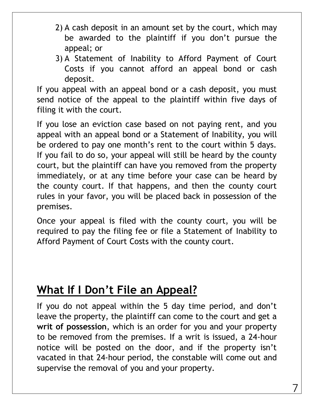- 2) A cash deposit in an amount set by the court, which may be awarded to the plaintiff if you don't pursue the appeal; or
- 3) A Statement of Inability to Afford Payment of Court Costs if you cannot afford an appeal bond or cash deposit.

If you appeal with an appeal bond or a cash deposit, you must send notice of the appeal to the plaintiff within five days of filing it with the court.

If you lose an eviction case based on not paying rent, and you appeal with an appeal bond or a Statement of Inability, you will be ordered to pay one month's rent to the court within 5 days. If you fail to do so, your appeal will still be heard by the county court, but the plaintiff can have you removed from the property immediately, or at any time before your case can be heard by the county court. If that happens, and then the county court rules in your favor, you will be placed back in possession of the premises.

Once your appeal is filed with the county court, you will be required to pay the filing fee or file a Statement of Inability to Afford Payment of Court Costs with the county court.

#### **What If I Don't File an Appeal?**

If you do not appeal within the 5 day time period, and don't leave the property, the plaintiff can come to the court and get a **writ of possession**, which is an order for you and your property to be removed from the premises. If a writ is issued, a 24-hour notice will be posted on the door, and if the property isn't vacated in that 24-hour period, the constable will come out and supervise the removal of you and your property.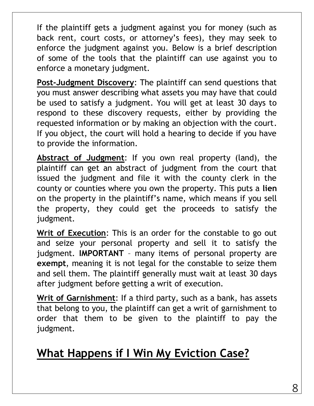If the plaintiff gets a judgment against you for money (such as back rent, court costs, or attorney's fees), they may seek to enforce the judgment against you. Below is a brief description of some of the tools that the plaintiff can use against you to enforce a monetary judgment.

**Post-Judgment Discovery**: The plaintiff can send questions that you must answer describing what assets you may have that could be used to satisfy a judgment. You will get at least 30 days to respond to these discovery requests, either by providing the requested information or by making an objection with the court. If you object, the court will hold a hearing to decide if you have to provide the information.

**Abstract of Judgment**: If you own real property (land), the plaintiff can get an abstract of judgment from the court that issued the judgment and file it with the county clerk in the county or counties where you own the property. This puts a **lien** on the property in the plaintiff's name, which means if you sell the property, they could get the proceeds to satisfy the judgment.

**Writ of Execution**: This is an order for the constable to go out and seize your personal property and sell it to satisfy the judgment. **IMPORTANT** – many items of personal property are **exempt**, meaning it is not legal for the constable to seize them and sell them. The plaintiff generally must wait at least 30 days after judgment before getting a writ of execution.

**Writ of Garnishment**: If a third party, such as a bank, has assets that belong to you, the plaintiff can get a writ of garnishment to order that them to be given to the plaintiff to pay the judgment.

## **What Happens if I Win My Eviction Case?**